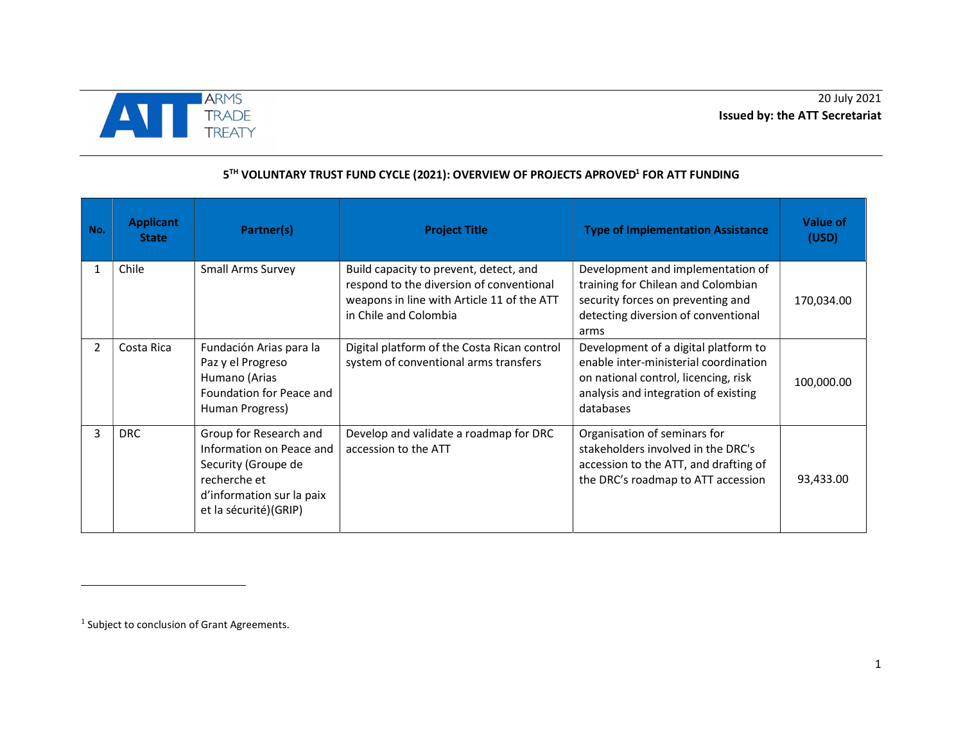

## 5<sup>TH</sup> VOLUNTARY TRUST FUND CYCLE (2021): OVERVIEW OF PROJECTS APROVED<sup>1</sup> FOR ATT FUNDING

| No.            | <b>Applicant</b><br><b>State</b> | Partner(s)                                                                                                                                      | <b>Project Title</b>                                                                                                                                      | <b>Type of Implementation Assistance</b>                                                                                                                                   | Value of<br>(USD) |
|----------------|----------------------------------|-------------------------------------------------------------------------------------------------------------------------------------------------|-----------------------------------------------------------------------------------------------------------------------------------------------------------|----------------------------------------------------------------------------------------------------------------------------------------------------------------------------|-------------------|
| 1              | Chile                            | <b>Small Arms Survey</b>                                                                                                                        | Build capacity to prevent, detect, and<br>respond to the diversion of conventional<br>weapons in line with Article 11 of the ATT<br>in Chile and Colombia | Development and implementation of<br>training for Chilean and Colombian<br>security forces on preventing and<br>detecting diversion of conventional<br>arms                | 170,034.00        |
| $\mathfrak{p}$ | Costa Rica                       | Fundación Arias para la<br>Paz y el Progreso<br>Humano (Arias<br>Foundation for Peace and<br>Human Progress)                                    | Digital platform of the Costa Rican control<br>system of conventional arms transfers                                                                      | Development of a digital platform to<br>enable inter-ministerial coordination<br>on national control, licencing, risk<br>analysis and integration of existing<br>databases | 100,000.00        |
| 3              | <b>DRC</b>                       | Group for Research and<br>Information on Peace and<br>Security (Groupe de<br>recherche et<br>d'information sur la paix<br>et la sécurité)(GRIP) | Develop and validate a roadmap for DRC<br>accession to the ATT                                                                                            | Organisation of seminars for<br>stakeholders involved in the DRC's<br>accession to the ATT, and drafting of<br>the DRC's roadmap to ATT accession                          | 93,433.00         |

<sup>1</sup> Subject to conclusion of Grant Agreements.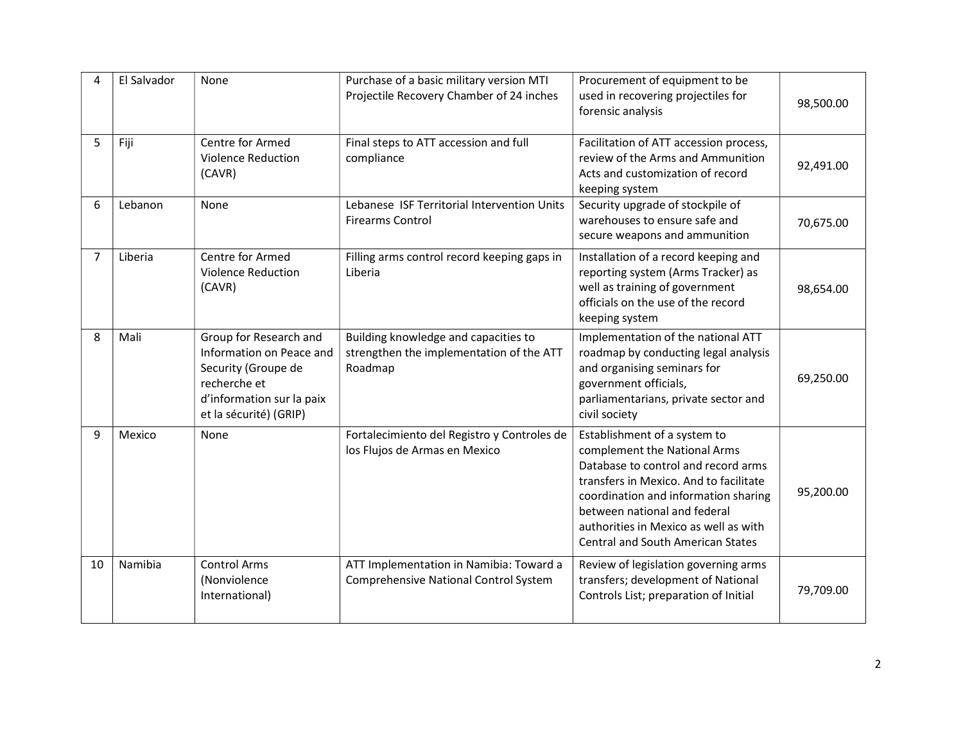| Δ  | El Salvador | None                                                                                                                                             | Purchase of a basic military version MTI<br>Projectile Recovery Chamber of 24 inches        | Procurement of equipment to be<br>used in recovering projectiles for<br>forensic analysis                                                                                                                                                                                                                  | 98,500.00 |
|----|-------------|--------------------------------------------------------------------------------------------------------------------------------------------------|---------------------------------------------------------------------------------------------|------------------------------------------------------------------------------------------------------------------------------------------------------------------------------------------------------------------------------------------------------------------------------------------------------------|-----------|
| 5  | Fiji        | Centre for Armed<br><b>Violence Reduction</b><br>(CAVR)                                                                                          | Final steps to ATT accession and full<br>compliance                                         | Facilitation of ATT accession process,<br>review of the Arms and Ammunition<br>Acts and customization of record<br>keeping system                                                                                                                                                                          | 92,491.00 |
| 6  | Lebanon     | None                                                                                                                                             | Lebanese ISF Territorial Intervention Units<br><b>Firearms Control</b>                      | Security upgrade of stockpile of<br>warehouses to ensure safe and<br>secure weapons and ammunition                                                                                                                                                                                                         | 70,675.00 |
| 7  | Liberia     | Centre for Armed<br><b>Violence Reduction</b><br>(CAVR)                                                                                          | Filling arms control record keeping gaps in<br>Liberia                                      | Installation of a record keeping and<br>reporting system (Arms Tracker) as<br>well as training of government<br>officials on the use of the record<br>keeping system                                                                                                                                       | 98,654.00 |
| 8  | Mali        | Group for Research and<br>Information on Peace and<br>Security (Groupe de<br>recherche et<br>d'information sur la paix<br>et la sécurité) (GRIP) | Building knowledge and capacities to<br>strengthen the implementation of the ATT<br>Roadmap | Implementation of the national ATT<br>roadmap by conducting legal analysis<br>and organising seminars for<br>government officials,<br>parliamentarians, private sector and<br>civil society                                                                                                                | 69,250.00 |
| 9  | Mexico      | None                                                                                                                                             | Fortalecimiento del Registro y Controles de<br>los Flujos de Armas en Mexico                | Establishment of a system to<br>complement the National Arms<br>Database to control and record arms<br>transfers in Mexico. And to facilitate<br>coordination and information sharing<br>between national and federal<br>authorities in Mexico as well as with<br><b>Central and South American States</b> | 95,200.00 |
| 10 | Namibia     | <b>Control Arms</b><br>(Nonviolence<br>International)                                                                                            | ATT Implementation in Namibia: Toward a<br>Comprehensive National Control System            | Review of legislation governing arms<br>transfers; development of National<br>Controls List; preparation of Initial                                                                                                                                                                                        | 79,709.00 |